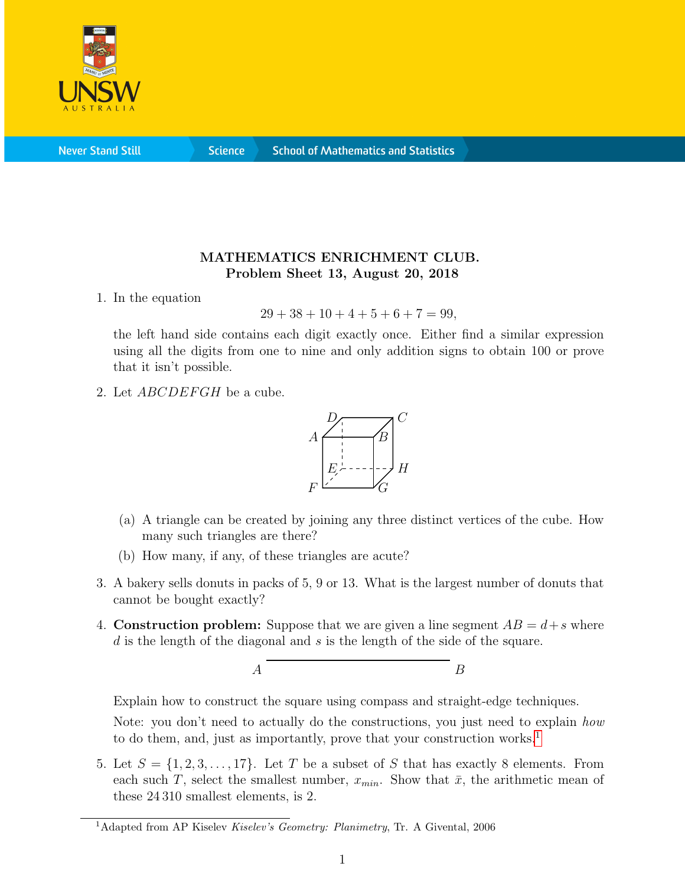

**Never Stand Still** 

**Science** 

## MATHEMATICS ENRICHMENT CLUB. Problem Sheet 13, August 20, 2018

1. In the equation

 $29 + 38 + 10 + 4 + 5 + 6 + 7 = 99$ ,

the left hand side contains each digit exactly once. Either find a similar expression using all the digits from one to nine and only addition signs to obtain 100 or prove that it isn't possible.

2. Let *ABCDEFGH* be a cube.



- (a) A triangle can be created by joining any three distinct vertices of the cube. How many such triangles are there?
- (b) How many, if any, of these triangles are acute?
- 3. A bakery sells donuts in packs of 5, 9 or 13. What is the largest number of donuts that cannot be bought exactly?
- 4. **Construction problem:** Suppose that we are given a line segment  $AB = d + s$  where  $d$  is the length of the diagonal and s is the length of the side of the square.



Explain how to construct the square using compass and straight-edge techniques.

Note: you don't need to actually do the constructions, you just need to explain how to do them, and, just as importantly, prove that your construction works.<sup>[1](#page-0-0)</sup>

5. Let  $S = \{1, 2, 3, \ldots, 17\}$ . Let T be a subset of S that has exactly 8 elements. From each such T, select the smallest number,  $x_{min}$ . Show that  $\bar{x}$ , the arithmetic mean of these 24 310 smallest elements, is 2.

<span id="page-0-0"></span><sup>&</sup>lt;sup>1</sup>Adapted from AP Kiselev Kiselev's Geometry: Planimetry, Tr. A Givental, 2006